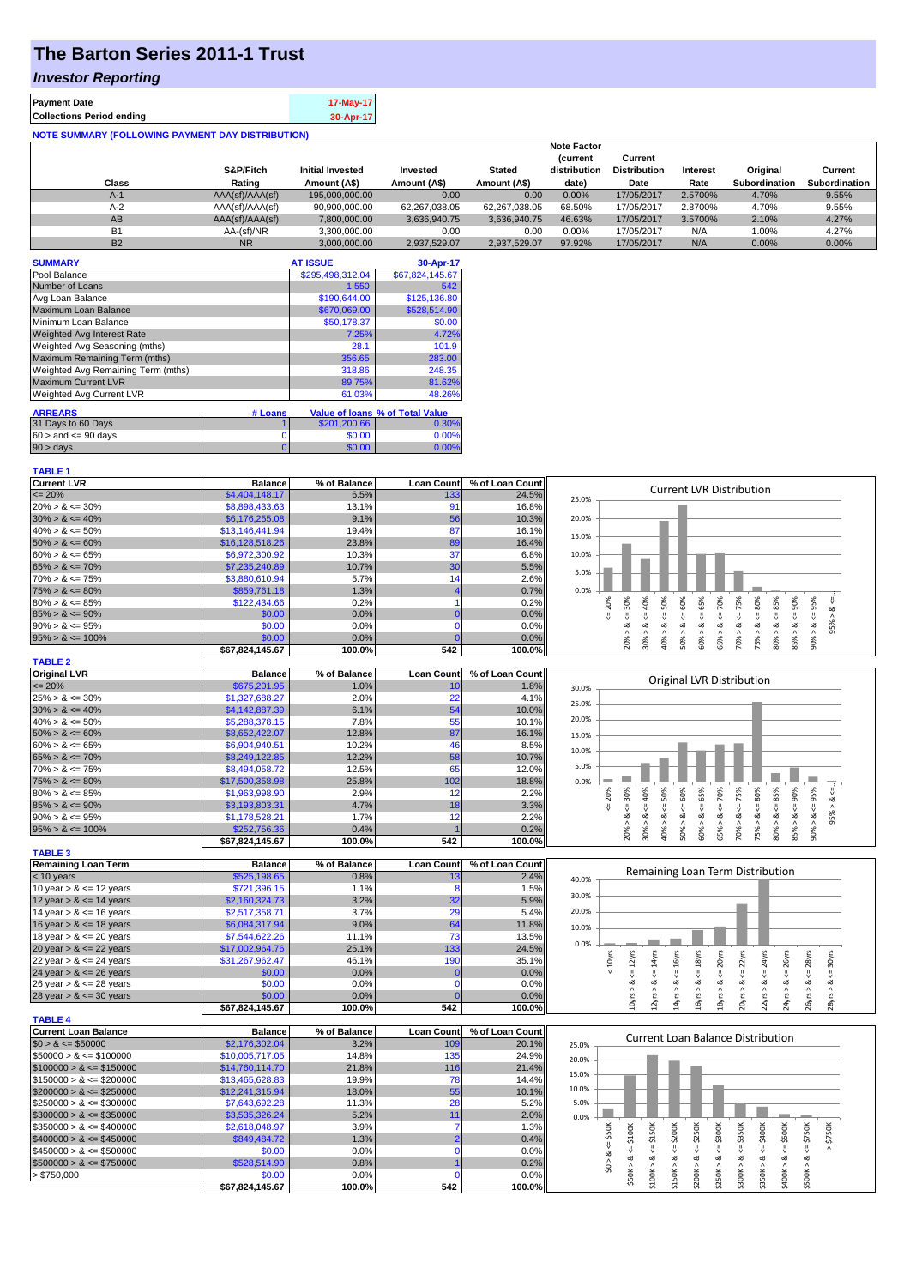# **The Barton Series 2011-1 Trust**

## *Investor Reporting*

| <b>Payment Date</b>                                      | 17-May-17 |
|----------------------------------------------------------|-----------|
| <b>Collections Period ending</b>                         | 30-Apr-17 |
| <b>NOTE SUMMARY (FOLLOWING PAYMENT DAY DISTRIBUTION)</b> |           |

| Class     | S&P/Fitch<br>Rating | <b>Initial Invested</b><br>Amount (A\$) | Invested<br>Amount (A\$) | <b>Stated</b><br>Amount (A\$) | <b>Note Factor</b><br><b>Current</b><br>distribution<br>date) | Current<br><b>Distribution</b><br>Date | Interest<br>Rate | Original<br><b>Subordination</b> | Current<br><b>Subordination</b> |
|-----------|---------------------|-----------------------------------------|--------------------------|-------------------------------|---------------------------------------------------------------|----------------------------------------|------------------|----------------------------------|---------------------------------|
| $A-1$     | AAA(sf)/AAA(sf)     | 195,000,000,00                          | 0.00                     | 0.00                          | $0.00\%$                                                      | 17/05/2017                             | 2.5700%          | 4.70%                            | 9.55%                           |
| $A-2$     | AAA(sf)/AAA(sf)     | 90.900.000.00                           | 62.267.038.05            | 62.267.038.05                 | 68.50%                                                        | 17/05/2017                             | 2.8700%          | 4.70%                            | 9.55%                           |
| AB        | AAA(sf)/AAA(sf)     | 7,800,000.00                            | 3.636.940.75             | 3,636,940.75                  | 46.63%                                                        | 17/05/2017                             | 3.5700%          | 2.10%                            | 4.27%                           |
| <b>B1</b> | AA-(sf)/NR          | 3,300,000.00                            | 0.00                     | 0.00                          | $0.00\%$                                                      | 17/05/2017                             | N/A              | 1.00%                            | 4.27%                           |
| <b>B2</b> | <b>NR</b>           | 3,000,000.00                            | 2.937.529.07             | 2.937.529.07                  | 97.92%                                                        | 17/05/2017                             | N/A              | 0.00%                            | 0.00%                           |

| <b>SUMMARY</b>                     |                | <b>AT ISSUE</b>  | 30-Apr-17                       |
|------------------------------------|----------------|------------------|---------------------------------|
| Pool Balance                       |                | \$295,498,312.04 | \$67,824,145.67                 |
| Number of Loans                    |                | 1.550            | 542                             |
| Avg Loan Balance                   |                | \$190,644.00     | \$125,136.80                    |
| Maximum Loan Balance               |                | \$670,069.00     | \$528,514.90                    |
| Minimum Loan Balance               |                | \$50,178.37      | \$0.00                          |
| <b>Weighted Avg Interest Rate</b>  |                | 7.25%            | 4.72%                           |
| Weighted Avg Seasoning (mths)      |                | 28.1             | 101.9                           |
| Maximum Remaining Term (mths)      |                | 356.65           | 283.00                          |
| Weighted Avg Remaining Term (mths) |                | 318.86           | 248.35                          |
| <b>Maximum Current LVR</b>         |                | 89.75%           | 81.62%                          |
| <b>Weighted Avg Current LVR</b>    |                | 61.03%           | 48.26%                          |
| <b>ARREARS</b>                     | # Loans        |                  | Value of Ioans % of Total Value |
| 31 Days to 60 Days                 |                | \$201.200.66     | 0.30%                           |
| $60 >$ and $\leq 90$ days          | 0              | \$0.00           | 0.00%                           |
| 90 > days                          | $\overline{0}$ | \$0.00           | 0.00%                           |

#### **TABLE 1**

| <b>Current LVR</b>   | <b>Balance</b>  | % of Balance | <b>Loan Count</b> | % of Loan Count |                                                                                  |
|----------------------|-----------------|--------------|-------------------|-----------------|----------------------------------------------------------------------------------|
| $\leq$ 20%           | \$4,404,148.17  | 6.5%         | 133               | 24.5%           | <b>Current LVR Distribution</b><br>25.0%                                         |
| $20\% > 8 \le 30\%$  | \$8,898,433.63  | 13.1%        | 91                | 16.8%           |                                                                                  |
| $30\% > 8 \le 40\%$  | \$6,176,255.08  | 9.1%         | 56                | 10.3%           | 20.0%                                                                            |
| $40\% > 8 \le 50\%$  | \$13,146,441.94 | 19.4%        | 87                | 16.1%           | 15.0%                                                                            |
| $50\% > 8 \le 60\%$  | \$16,128,518.26 | 23.8%        | 89                | 16.4%           |                                                                                  |
| $60\% > 8 \le 65\%$  | \$6,972,300.92  | 10.3%        | 37                | 6.8%            | 10.0%                                                                            |
| $65\% > 8 \le 70\%$  | \$7,235,240.89  | 10.7%        | 30                | 5.5%            | 5.0%                                                                             |
| $70\% > 8 \le 75\%$  | \$3.880.610.94  | 5.7%         | 14                | 2.6%            |                                                                                  |
| $75\% > 8 \le 80\%$  | \$859,761.18    | 1.3%         |                   | 0.7%            | 0.0%                                                                             |
| $80\% > 8 \le 85\%$  | \$122,434.66    | 0.2%         |                   | 0.2%            | 40%<br>95%<br>20%<br>30%<br>50%<br>65%<br>70%<br>75%<br>80%<br>85%<br>90%<br>60% |
| $85\% > 8 \le 90\%$  | \$0.00          | 0.0%         |                   | 0.0%            |                                                                                  |
| $90\% > 8 \le 95\%$  | \$0.00          | 0.0%         |                   | 0.0%            | 95%<br>œ<br>ö.<br>∝<br>∝<br>$\wedge$<br>$\wedge$                                 |
| $95\% > 8 \le 100\%$ | \$0.00          | 0.0%         |                   | 0.0%            | 70%<br>75%<br>85%<br>30%<br>40%<br>50%<br>60%<br>65%<br>80%<br>90%<br>20%        |
|                      | \$67,824,145.67 | 100.0%       | 542               | 100.0%          |                                                                                  |
| <b>TABLE 2</b>       |                 |              |                   |                 |                                                                                  |
| <b>Original LVR</b>  | <b>Balance</b>  | % of Balance | <b>Loan Count</b> | % of Loan Count | Original LVR Distribution                                                        |
| $\leq$ 20%           | \$675,201.95    | 1.0%         | 10                | 1.8%            | 30.0%                                                                            |
| $25\% > 8 \le 30\%$  | \$1,327,688.27  | 2.0%         | 22                | 4.1%            | 25.0%                                                                            |
| $30\% > 8 \le 40\%$  | \$4,142,887.39  | 6.1%         | 54                | 10.0%           |                                                                                  |
| $40\% > 8 \le 50\%$  | \$5,288,378.15  | 7.8%         | 55                | 10.1%           | 20.0%                                                                            |
| $50\% > 8 \le 60\%$  | \$8,652,422.07  | 12.8%        | 87                | 16.1%           | 15.0%                                                                            |
| $60\% > 8 \le 65\%$  | \$6,904,940.51  | 10.2%        | 46                | 8.5%            | 10.0%                                                                            |
| $65\% > 8 \le 70\%$  | \$8,249,122.85  | 12.2%        | 58                | 10.7%           |                                                                                  |
| $70\% > 8 \le 75\%$  | \$8,494,058.72  | 12.5%        | 65                | 12.0%           | 5.0%                                                                             |
| $75\% > 8 \le 80\%$  | \$17,500,358.98 | 25.8%        | 102               | 18.8%           | 0.0%                                                                             |
| $80\% > 8 \le 85\%$  | \$1.963.998.90  | 2.9%         | 12                | 2.2%            | 65%<br>75%<br>80%<br>95%<br>40%<br>50%<br>60%<br>70%<br>85%<br>90%<br>20%<br>30% |
| $85\% > 8 \le 90\%$  | \$3,193,803.31  | 4.7%         | 18                | 3.3%            |                                                                                  |
| $90\% > 8 \le 95\%$  | \$1,178,528.21  | 1.7%         | 12                | 2.2%            | ان<br>∝                                                                          |
| $95\% > 8 \le 100\%$ | \$252,756.36    | 0.4%         |                   | 0.2%            | 70%<br>85%<br>40%<br>65%<br>30%<br>50%<br>75%<br>80%<br>90%<br>20%<br>60%        |
|                      | 6070244557      | 100.001      | <b>E49</b>        | 100.001         |                                                                                  |

|                            | \$67,824,145.67 | 100.0%       | 542               | 100.0%l         | $\sim$<br>$\sim$<br><b>UQUONN</b><br>$\infty$ |
|----------------------------|-----------------|--------------|-------------------|-----------------|-----------------------------------------------|
| <b>TABLE 3</b>             |                 |              |                   |                 |                                               |
| <b>Remaining Loan Term</b> | <b>Balance</b>  | % of Balance | <b>Loan Count</b> | % of Loan Count |                                               |
| $< 10$ years               | \$525,198.65    | 0.8%         |                   | 2.4%            | Remaining Loan Term Distribution<br>40.0%     |
| 10 year $> 8 \le 12$ years | \$721,396.15    | 1.1%         |                   | 1.5%            |                                               |
| 12 year $> 8 \le 14$ years | \$2,160,324.73  | 3.2%         | 32                | 5.9%            | 30.0%                                         |
| 14 year $> 8 \le 16$ years | \$2,517,358.71  | 3.7%         | 29                | 5.4%            | 20.0%                                         |
| 16 year $> 8 \le 18$ years | \$6,084,317.94  | $9.0\%$      | 64                | 11.8%           | 10.0%                                         |
| 18 year $> 8 \le 20$ years | \$7,544,622,26  | 11.1%        | 731               | 13.5%           |                                               |
| 20 year $> 8 \le 22$ years | \$17,002,964.76 | 25.1%        | 133               | 24.5%           | 0.0%                                          |
| 22 year $> 8 \le 24$ years | \$31,267,962.47 | 46.1%        | 190               | 35.1%           |                                               |
| 24 year $> 8 \le 26$ years | \$0.00          | 0.0%         |                   | 0.0%            |                                               |
| 26 year $> 8 \le 28$ years | \$0.00          | $0.0\%$      |                   | 0.0%            |                                               |
| 28 year $> 8 \le 30$ years | \$0.00          | 0.0%         |                   | 0.0%            |                                               |
|                            | \$67.824.145.67 | 100.0%       | 542               | 100.0%          |                                               |

|                              | 10.041,43.07    | 1 UU.U%      | 34Z I             | 1 UU.U%         |       | $\mathbf{H}$ | $\overline{\phantom{0}}$ |   |        |           | $\sim$ | $\sim$                                   | $\sim$ | $\sim$ | $\sim$        |  |
|------------------------------|-----------------|--------------|-------------------|-----------------|-------|--------------|--------------------------|---|--------|-----------|--------|------------------------------------------|--------|--------|---------------|--|
| <b>TABLE 4</b>               |                 |              |                   |                 |       |              |                          |   |        |           |        |                                          |        |        |               |  |
| <b>Current Loan Balance</b>  | <b>Balance</b>  | % of Balance | <b>Loan Count</b> | % of Loan Count |       |              |                          |   |        |           |        | <b>Current Loan Balance Distribution</b> |        |        |               |  |
| $$0 > 8 \leq $50000$         | \$2,176,302.04  | 3.2%         | 109               | 20.1%           | 25.0% |              |                          |   |        |           |        |                                          |        |        |               |  |
| $\$50000 > 8 \leq \$100000$  | \$10,005,717.05 | 14.8%        | 135               | 24.9%           | 20.0% |              |                          |   |        |           |        |                                          |        |        |               |  |
| $$100000 > 8 \leq $150000$   | \$14,760,114,70 | 21.8%        | 116               | 21.4%           |       |              |                          |   |        |           |        |                                          |        |        |               |  |
| $$150000 > 8 \leq $200000$   | \$13,465,628.83 | 19.9%        | 78                | 14.4%           | 15.0% |              |                          |   |        |           |        |                                          |        |        |               |  |
| $$200000 > 8 \leq $250000$   | \$12,241,315.94 | 18.0%        | 55                | 10.1%           | 10.0% |              |                          |   |        |           |        |                                          |        |        |               |  |
| $$250000 > 8 \leq $300000$   | \$7,643,692.28  | 11.3%        | 28                | 5.2%            | 5.0%  |              |                          |   |        |           |        |                                          |        |        |               |  |
| $$300000 > 8 \leq $350000$   | \$3,535,326.24  | 5.2%         |                   | 2.0%            | 0.0%  |              |                          |   |        |           |        |                                          |        |        |               |  |
| $\$350000 > 8 \leq \$400000$ | \$2,618,048.97  | 3.9%         |                   | 1.3%            |       |              | 흕                        | ă | š<br>ഗ | š         |        |                                          | Š      | š      | $\frac{5}{2}$ |  |
| $$400000 > 8 \leq $450000$   | \$849,484.72    | 1.3%         |                   | 0.4%            |       |              |                          | Ω | 52     | <u>నే</u> |        |                                          |        |        |               |  |
| $$450000 > 8 \leq $500000$   | \$0.00          | 0.0%         |                   | 0.0%            |       |              |                          |   |        |           |        |                                          |        |        |               |  |
| $$500000 > 8 \leq $750000$   | \$528,514.90    | 0.8%         |                   | 0.2%            |       |              | œ                        |   |        |           |        |                                          |        |        |               |  |
| > \$750,000                  | \$0.00          | 0.0%         |                   | $0.0\%$         |       |              |                          |   |        |           |        |                                          | ă      |        |               |  |
|                              | \$67.824.145.67 | 100.0%       | 542               | 100.0%          |       |              |                          |   |        |           |        |                                          |        |        |               |  |